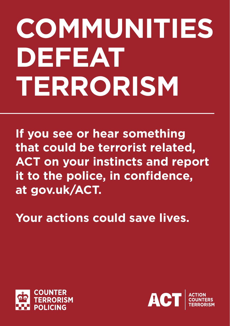## **COMMUNITIES DEFEAT TERRORISM**

**If you see or hear something that could be terrorist related, ACT on your instincts and report it to the police, in confidence, at gov.uk/ACT.**

**Your actions could save lives.**